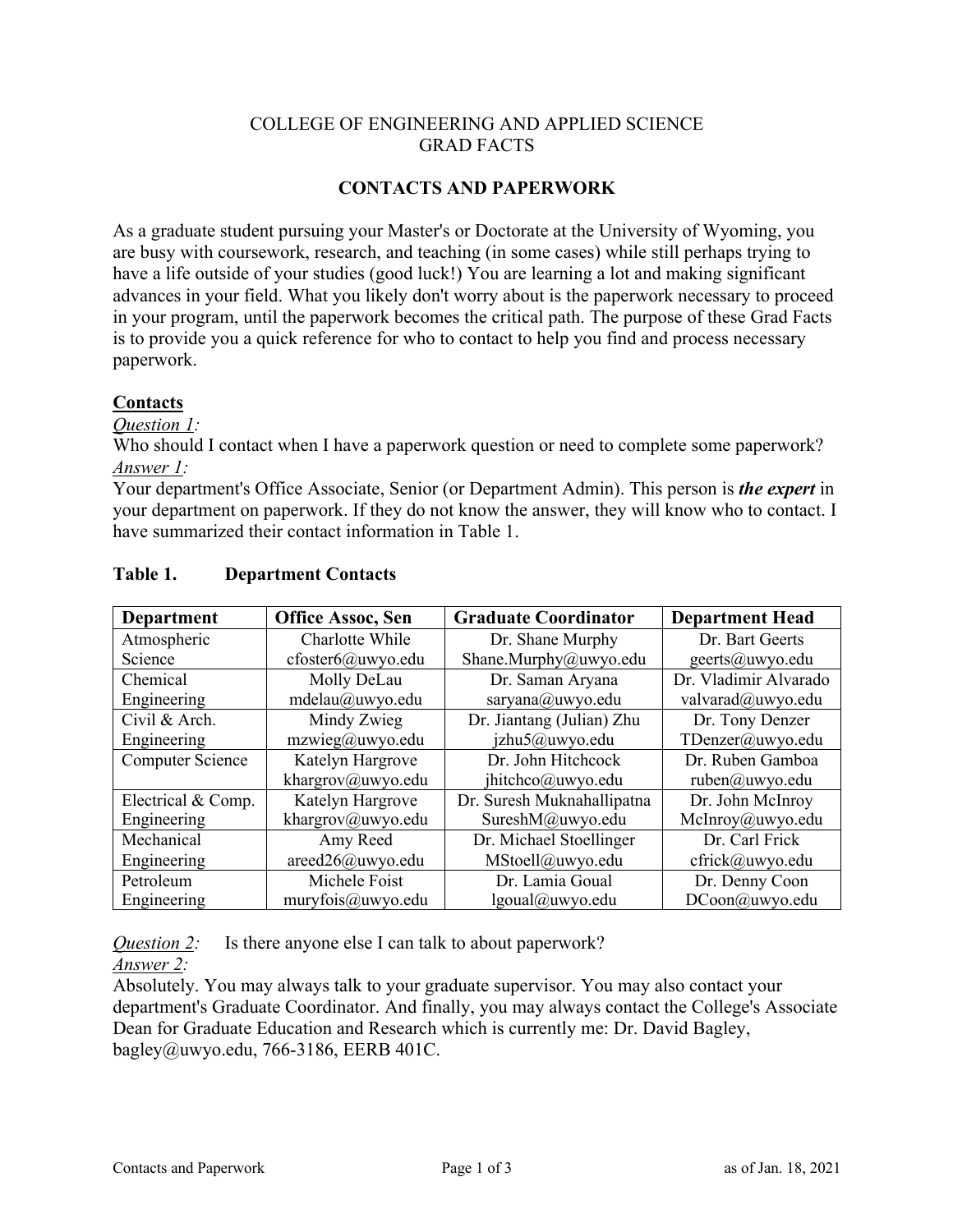## COLLEGE OF ENGINEERING AND APPLIED SCIENCE GRAD FACTS

### **CONTACTS AND PAPERWORK**

As a graduate student pursuing your Master's or Doctorate at the University of Wyoming, you are busy with coursework, research, and teaching (in some cases) while still perhaps trying to have a life outside of your studies (good luck!) You are learning a lot and making significant advances in your field. What you likely don't worry about is the paperwork necessary to proceed in your program, until the paperwork becomes the critical path. The purpose of these Grad Facts is to provide you a quick reference for who to contact to help you find and process necessary paperwork.

### **Contacts**

*Question 1:*

Who should I contact when I have a paperwork question or need to complete some paperwork? *Answer 1:*

Your department's Office Associate, Senior (or Department Admin). This person is *the expert* in your department on paperwork. If they do not know the answer, they will know who to contact. I have summarized their contact information in Table 1.

| <b>Department</b>  | <b>Office Assoc, Sen</b> | <b>Graduate Coordinator</b> | <b>Department Head</b> |
|--------------------|--------------------------|-----------------------------|------------------------|
| Atmospheric        | Charlotte While          | Dr. Shane Murphy            | Dr. Bart Geerts        |
| Science            | cfoster6@uwyo.edu        | Shane.Murphy@uwyo.edu       | geerts@uwyo.edu        |
| Chemical           | Molly DeLau              | Dr. Saman Aryana            | Dr. Vladimir Alvarado  |
| Engineering        | mdelau@uwyo.edu          | saryana@uwyo.edu            | valvarad@uwyo.edu      |
| Civil & Arch.      | Mindy Zwieg              | Dr. Jiantang (Julian) Zhu   | Dr. Tony Denzer        |
| Engineering        | mzwieg@uwyo.edu          | jzhu5@uwyo.edu              | TDenzer@uwyo.edu       |
| Computer Science   | Katelyn Hargrove         | Dr. John Hitchcock          | Dr. Ruben Gamboa       |
|                    | khargrov@uwyo.edu        | jhitchco@uwyo.edu           | ruben@uwyo.edu         |
| Electrical & Comp. | Katelyn Hargrove         | Dr. Suresh Muknahallipatna  | Dr. John McInroy       |
| Engineering        | khargrov@uwyo.edu        | SureshM@uwyo.edu            | McInroy@uwyo.edu       |
| Mechanical         | Amy Reed                 | Dr. Michael Stoellinger     | Dr. Carl Frick         |
| Engineering        | $areed26@u$ wyo.edu      | MStoell@uwyo.edu            | cfrick@uwyo.edu        |
| Petroleum          | Michele Foist            | Dr. Lamia Goual             | Dr. Denny Coon         |
| Engineering        | muryfois@uwyo.edu        | lgoual@uwyo.edu             | DCoon@uwyo.edu         |

### **Table 1. Department Contacts**

*Question 2:* Is there anyone else I can talk to about paperwork?

*Answer 2:*

Absolutely. You may always talk to your graduate supervisor. You may also contact your department's Graduate Coordinator. And finally, you may always contact the College's Associate Dean for Graduate Education and Research which is currently me: Dr. David Bagley, bagley@uwyo.edu, 766-3186, EERB 401C.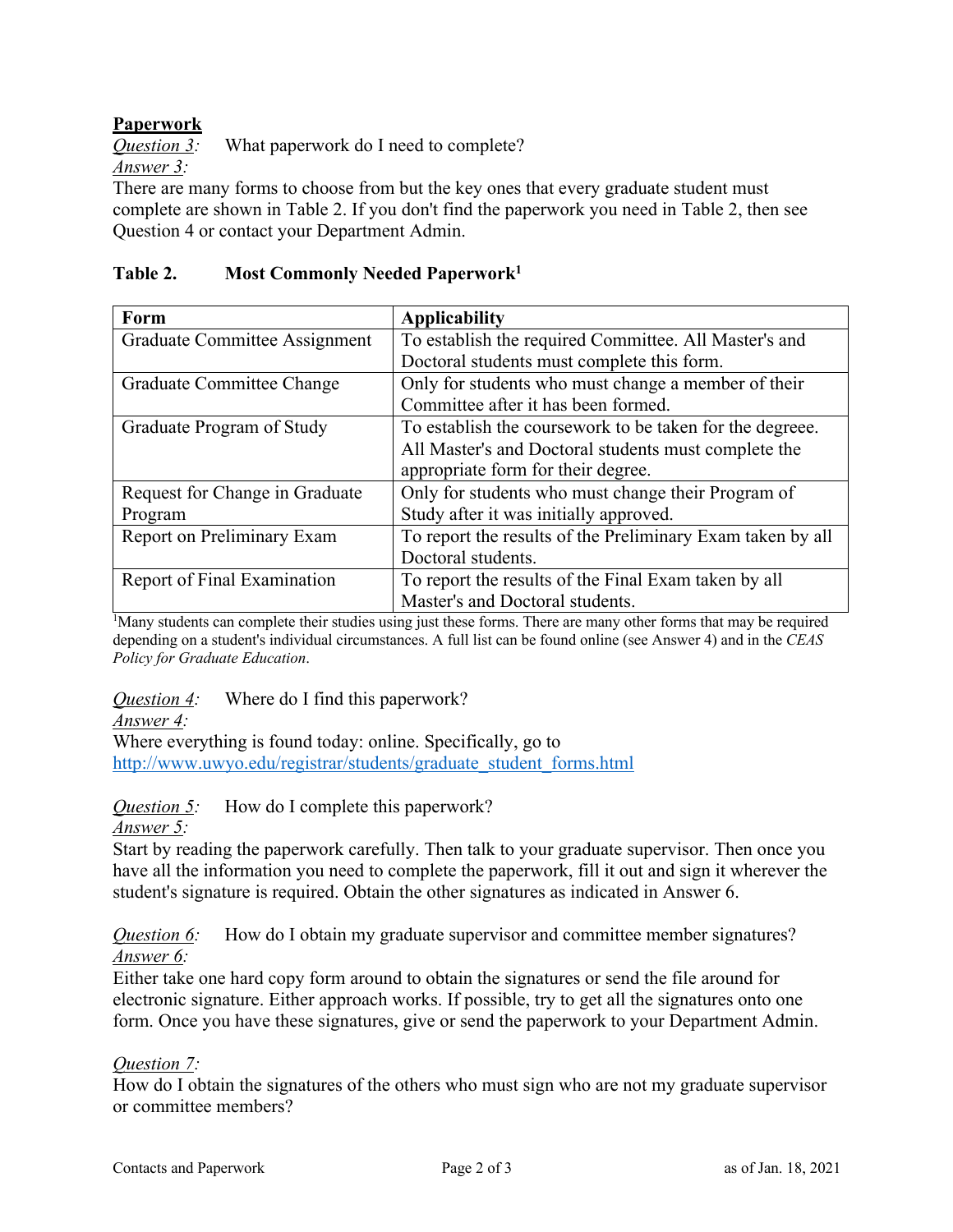# **Paperwork**

*Question 3:* What paperwork do I need to complete? *Answer 3:*

There are many forms to choose from but the key ones that every graduate student must complete are shown in Table 2. If you don't find the paperwork you need in Table 2, then see Question 4 or contact your Department Admin.

## **Table 2. Most Commonly Needed Paperwork1**

| Form                           | <b>Applicability</b>                                       |  |
|--------------------------------|------------------------------------------------------------|--|
| Graduate Committee Assignment  | To establish the required Committee. All Master's and      |  |
|                                | Doctoral students must complete this form.                 |  |
| Graduate Committee Change      | Only for students who must change a member of their        |  |
|                                | Committee after it has been formed.                        |  |
| Graduate Program of Study      | To establish the coursework to be taken for the degreee.   |  |
|                                | All Master's and Doctoral students must complete the       |  |
|                                | appropriate form for their degree.                         |  |
| Request for Change in Graduate | Only for students who must change their Program of         |  |
| Program                        | Study after it was initially approved.                     |  |
| Report on Preliminary Exam     | To report the results of the Preliminary Exam taken by all |  |
|                                | Doctoral students.                                         |  |
| Report of Final Examination    | To report the results of the Final Exam taken by all       |  |
|                                | Master's and Doctoral students.                            |  |

<sup>1</sup>Many students can complete their studies using just these forms. There are many other forms that may be required depending on a student's individual circumstances. A full list can be found online (see Answer 4) and in the *CEAS Policy for Graduate Education*.

*Question 4:* Where do I find this paperwork?

*Answer 4:*

Where everything is found today: online. Specifically, go to http://www.uwyo.edu/registrar/students/graduate\_student\_forms.html

*Question 5:* How do I complete this paperwork?

*Answer 5:*

Start by reading the paperwork carefully. Then talk to your graduate supervisor. Then once you have all the information you need to complete the paperwork, fill it out and sign it wherever the student's signature is required. Obtain the other signatures as indicated in Answer 6.

*Question 6:* How do I obtain my graduate supervisor and committee member signatures? *Answer 6:*

Either take one hard copy form around to obtain the signatures or send the file around for electronic signature. Either approach works. If possible, try to get all the signatures onto one form. Once you have these signatures, give or send the paperwork to your Department Admin.

### *Question 7:*

How do I obtain the signatures of the others who must sign who are not my graduate supervisor or committee members?